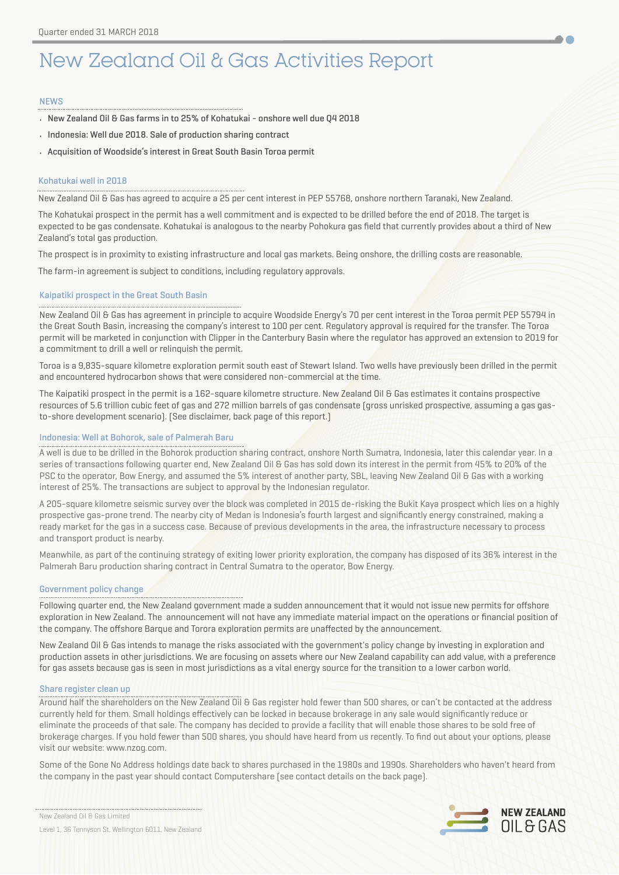# New Zealand Oil & Gas Activities Report

### NEWS

- New Zealand Oil & Gas farms in to 25% of Kohatukai onshore well due Q4 2018
- Indonesia: Well due 2018. Sale of production sharing contract
- Acquisition of Woodside's interest in Great South Basin Toroa permit

### Kohatukai well in 2018

New Zealand Oil & Gas has agreed to acquire a 25 per cent interest in PEP 55768, onshore northern Taranaki, New Zealand.

The Kohatukai prospect in the permit has a well commitment and is expected to be drilled before the end of 2018. The target is expected to be gas condensate. Kohatukai is analogous to the nearby Pohokura gas field that currently provides about a third of New Zealand's total gas production.

The prospect is in proximity to existing infrastructure and local gas markets. Being onshore, the drilling costs are reasonable.

The farm-in agreement is subject to conditions, including regulatory approvals.

### Kaipatiki prospect in the Great South Basin

New Zealand Oil & Gas has agreement in principle to acquire Woodside Energy's 70 per cent interest in the Toroa permit PEP 55794 in the Great South Basin, increasing the company's interest to 100 per cent. Regulatory approval is required for the transfer. The Toroa permit will be marketed in conjunction with Clipper in the Canterbury Basin where the regulator has approved an extension to 2019 for a commitment to drill a well or relinquish the permit.

Toroa is a 9,835-square kilometre exploration permit south east of Stewart Island. Two wells have previously been drilled in the permit and encountered hydrocarbon shows that were considered non-commercial at the time.

The Kaipatiki prospect in the permit is a 162-square kilometre structure. New Zealand Oil & Gas estimates it contains prospective resources of 5.6 trillion cubic feet of gas and 272 million barrels of gas condensate (gross unrisked prospective, assuming a gas gasto-shore development scenario). (See disclaimer, back page of this report.)

### Indonesia: Well at Bohorok, sale of Palmerah Baru

A well is due to be drilled in the Bohorok production sharing contract, onshore North Sumatra, Indonesia, later this calendar year. In a series of transactions following quarter end, New Zealand Oil & Gas has sold down its interest in the permit from 45% to 20% of the PSC to the operator, Bow Energy, and assumed the 5% interest of another party, SBL, leaving New Zealand Oil & Gas with a working interest of 25%. The transactions are subject to approval by the Indonesian regulator.

A 205-square kilometre seismic survey over the block was completed in 2015 de-risking the Bukit Kaya prospect which lies on a highly prospective gas-prone trend. The nearby city of Medan is Indonesia's fourth largest and significantly energy constrained, making a ready market for the gas in a success case. Because of previous developments in the area, the infrastructure necessary to process and transport product is nearby.

Meanwhile, as part of the continuing strategy of exiting lower priority exploration, the company has disposed of its 36% interest in the Palmerah Baru production sharing contract in Central Sumatra to the operator, Bow Energy.

### Government policy change

Following quarter end, the New Zealand government made a sudden announcement that it would not issue new permits for offshore exploration in New Zealand. The announcement will not have any immediate material impact on the operations or financial position of the company. The offshore Barque and Torora exploration permits are unaffected by the announcement.

New Zealand Oil & Gas intends to manage the risks associated with the government's policy change by investing in exploration and production assets in other jurisdictions. We are focusing on assets where our New Zealand capability can add value, with a preference for gas assets because gas is seen in most jurisdictions as a vital energy source for the transition to a lower carbon world.

#### Share register clean up

Around half the shareholders on the New Zealand Oil & Gas register hold fewer than 500 shares, or can't be contacted at the address currently held for them. Small holdings effectively can be locked in because brokerage in any sale would significantly reduce or eliminate the proceeds of that sale. The company has decided to provide a facility that will enable those shares to be sold free of brokerage charges. If you hold fewer than 500 shares, you should have heard from us recently. To find out about your options, please visit our website: www.[nzog.com](http://nzog.com).

Some of the Gone No Address holdings date back to shares purchased in the 1980s and 1990s. Shareholders who haven't heard from the company in the past year should contact Computershare (see contact details on the back page).

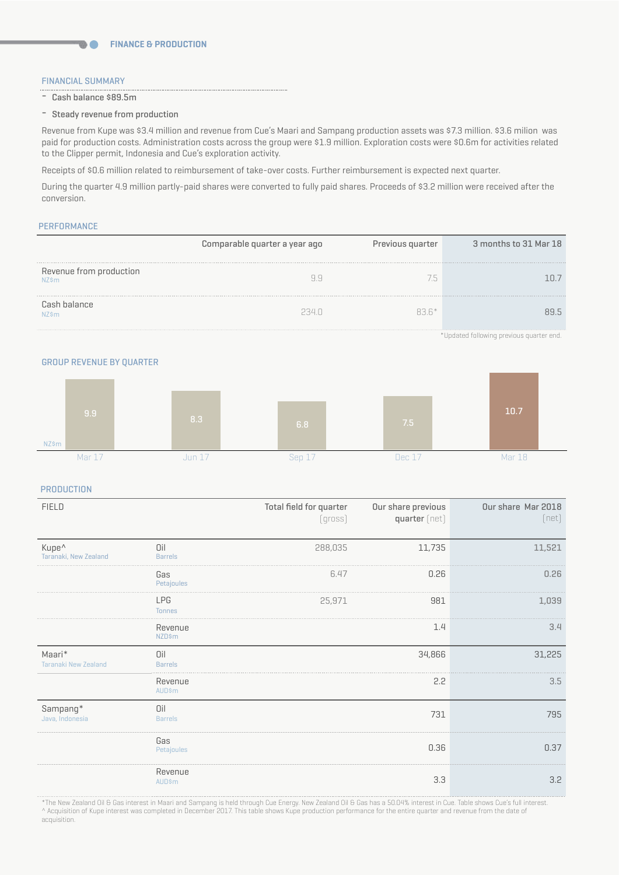### FINANCIAL SUMMARY

- Cash balance \$89.5m

**DO** 

- Steady revenue from production

Revenue from Kupe was \$3.4 million and revenue from Cue's Maari and Sampang production assets was \$7.3 million. \$3.6 milion was paid for production costs. Administration costs across the group were \$1.9 million. Exploration costs were \$0.6m for activities related to the Clipper permit, Indonesia and Cue's exploration activity.

Receipts of \$0.6 million related to reimbursement of take-over costs. Further reimbursement is expected next quarter.

During the quarter 4.9 million partly-paid shares were converted to fully paid shares. Proceeds of \$3.2 million were received after the conversion.

### **PERFORMANCE**

|                                  | Comparable quarter a year ago | Previous quarter | 3 months to 31 Mar 18 |
|----------------------------------|-------------------------------|------------------|-----------------------|
| Revenue from production<br>NZ\$m |                               |                  |                       |
| Cash balance<br>N7śm             | -341                          | 83 R*            |                       |

\*Updated following previous quarter end.

GROUP REVENUE BY QUARTER



**PRODUCTION** 

| <b>FIELD</b>                               |                             | Total field for quarter<br>[qross] | Our share previous<br>quarter [net] | Our share Mar 2018<br>[net] |
|--------------------------------------------|-----------------------------|------------------------------------|-------------------------------------|-----------------------------|
| Kupe <sup>^</sup><br>Taranaki, New Zealand | Oil<br><b>Barrels</b>       | 288,035                            | 11,735                              | 11,521                      |
|                                            | Gas<br>Petajoules           | 6.47                               | 0.26                                | 0.26                        |
|                                            | <b>LPG</b><br><b>Tonnes</b> | 25,971                             | 981                                 | 1,039                       |
|                                            | Revenue<br><b>NZD\$m</b>    |                                    | 1.4                                 | 3.4                         |
| Maari*<br><b>Taranaki New Zealand</b>      | Oil<br><b>Barrels</b>       |                                    | 34,866                              | 31,225                      |
|                                            | Revenue<br><b>AUD\$m</b>    |                                    | 2.2                                 | 3.5                         |
| Sampang*<br>Java, Indonesia                | Oil<br><b>Barrels</b>       |                                    | 731                                 | 795                         |
|                                            | Gas<br>Petajoules           |                                    | 0.36                                | 0.37                        |
|                                            | Revenue<br><b>AUD\$m</b>    |                                    | 3.3                                 | 3.2                         |

\*The New Zealand Oil & Gas interest in Maari and Sampang is held through Cue Energy. New Zealand Oil & Gas has a 50.04% interest in Cue. Table shows Cue's full interest. ^ Acquisition of Kupe interest was completed in December 2017. This table shows Kupe production performance for the entire quarter and revenue from the date of acquisition.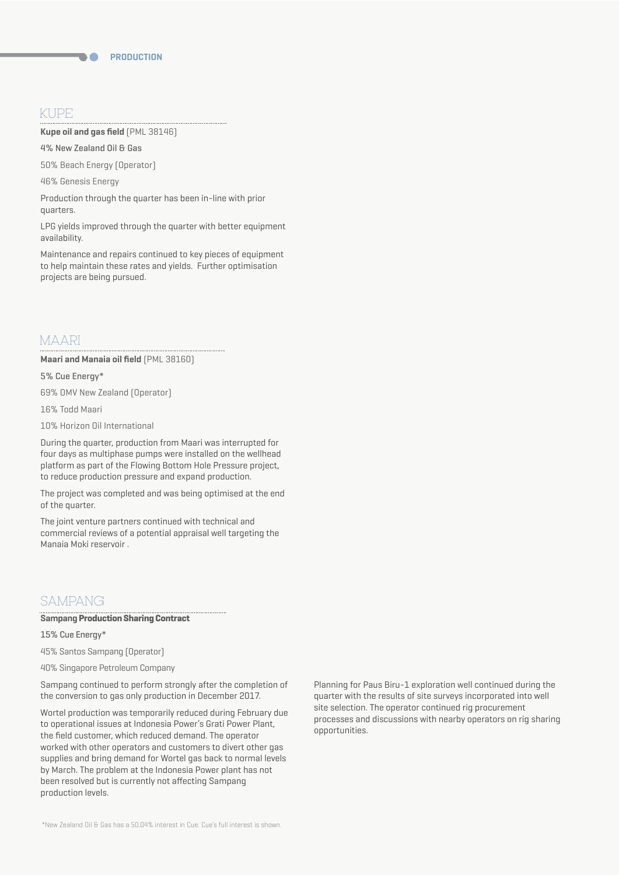# KUPE

**Kupe oil and gas field** (PML 38146)

4% New Zealand Oil & Gas

50% Beach Energy (Operator)

46% Genesis Energy

Production through the quarter has been in-line with prior quarters.

LPG yields improved through the quarter with better equipment availability.

Maintenance and repairs continued to key pieces of equipment to help maintain these rates and yields. Further optimisation projects are being pursued.

## MAARI

**Maari and Manaia oil field** (PML 38160)

### 5% Cue Energy\*

69% OMV New Zealand (Operator)

16% Todd Maari

10% Horizon Oil International

During the quarter, production from Maari was interrupted for four days as multiphase pumps were installed on the wellhead platform as part of the Flowing Bottom Hole Pressure project, to reduce production pressure and expand production.

The project was completed and was being optimised at the end of the quarter.

The joint venture partners continued with technical and commercial reviews of a potential appraisal well targeting the Manaia Moki reservoir .

# SAMPANG

### **Sampang Production Sharing Contract**

15% Cue Energy\*

45% Santos Sampang (Operator)

40% Singapore Petroleum Company

Sampang continued to perform strongly after the completion of the conversion to gas only production in December 2017.

Wortel production was temporarily reduced during February due to operational issues at Indonesia Power's Grati Power Plant, the field customer, which reduced demand. The operator worked with other operators and customers to divert other gas supplies and bring demand for Wortel gas back to normal levels by March. The problem at the Indonesia Power plant has not been resolved but is currently not affecting Sampang production levels.

Planning for Paus Biru-1 exploration well continued during the quarter with the results of site surveys incorporated into well site selection. The operator continued rig procurement processes and discussions with nearby operators on rig sharing opportunities.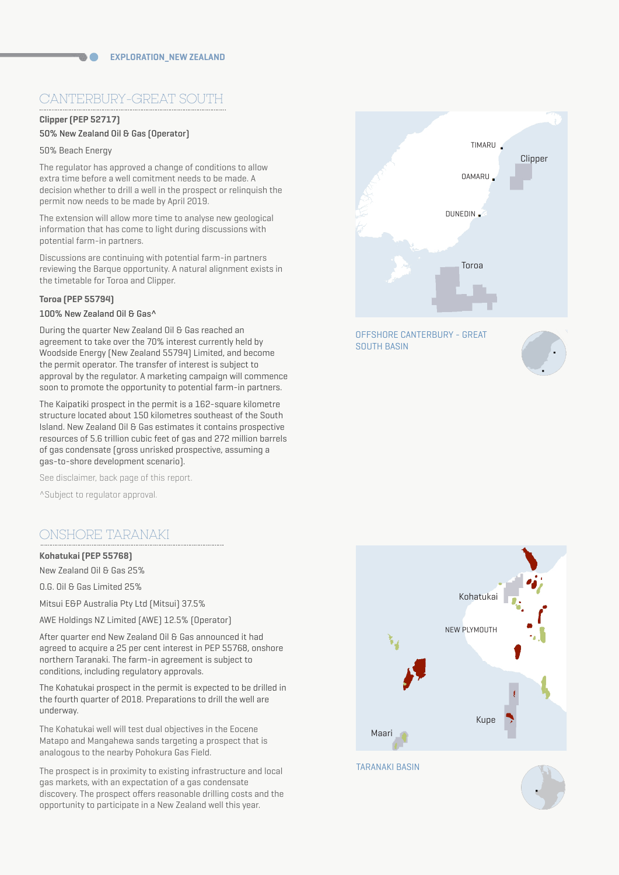# CANTERBURY-GREAT SOUTH

# **Clipper (PEP 52717)**

# 50% New Zealand Oil & Gas (Operator)

### 50% Beach Energy

The regulator has approved a change of conditions to allow extra time before a well comitment needs to be made. A decision whether to drill a well in the prospect or relinquish the permit now needs to be made by April 2019.

The extension will allow more time to analyse new geological information that has come to light during discussions with potential farm-in partners.

Discussions are continuing with potential farm-in partners reviewing the Barque opportunity. A natural alignment exists in the timetable for Toroa and Clipper.

### **Toroa (PEP 55794)**

# 100% New Zealand Oil & Gas^

During the quarter New Zealand Oil & Gas reached an agreement to take over the 70% interest currently held by Woodside Energy (New Zealand 55794) Limited, and become the permit operator. The transfer of interest is subject to approval by the regulator. A marketing campaign will commence soon to promote the opportunity to potential farm-in partners.

The Kaipatiki prospect in the permit is a 162-square kilometre structure located about 150 kilometres southeast of the South Island. New Zealand Oil & Gas estimates it contains prospective resources of 5.6 trillion cubic feet of gas and 272 million barrels of gas condensate (gross unrisked prospective, assuming a gas-to-shore development scenario).

See disclaimer, back page of this report.

^Subject to regulator approval.

# ONSHORE TARANAKI

## **Kohatukai (PEP 55768)**

New Zealand Oil & Gas 25%

O.G. Oil & Gas Limited 25%

Mitsui E&P Australia Pty Ltd (Mitsui) 37.5%

AWE Holdings NZ Limited (AWE) 12.5% (Operator)

After quarter end New Zealand Oil & Gas announced it had agreed to acquire a 25 per cent interest in PEP 55768, onshore northern Taranaki. The farm-in agreement is subject to conditions, including regulatory approvals.

The Kohatukai prospect in the permit is expected to be drilled in the fourth quarter of 2018. Preparations to drill the well are underway.

The Kohatukai well will test dual objectives in the Eocene Matapo and Mangahewa sands targeting a prospect that is analogous to the nearby Pohokura Gas Field.

The prospect is in proximity to existing infrastructure and local gas markets, with an expectation of a gas condensate discovery. The prospect offers reasonable drilling costs and the opportunity to participate in a New Zealand well this year.



OFFSHORE CANTERBURY - GREAT SOUTH BASIN





TARANAKI BASIN

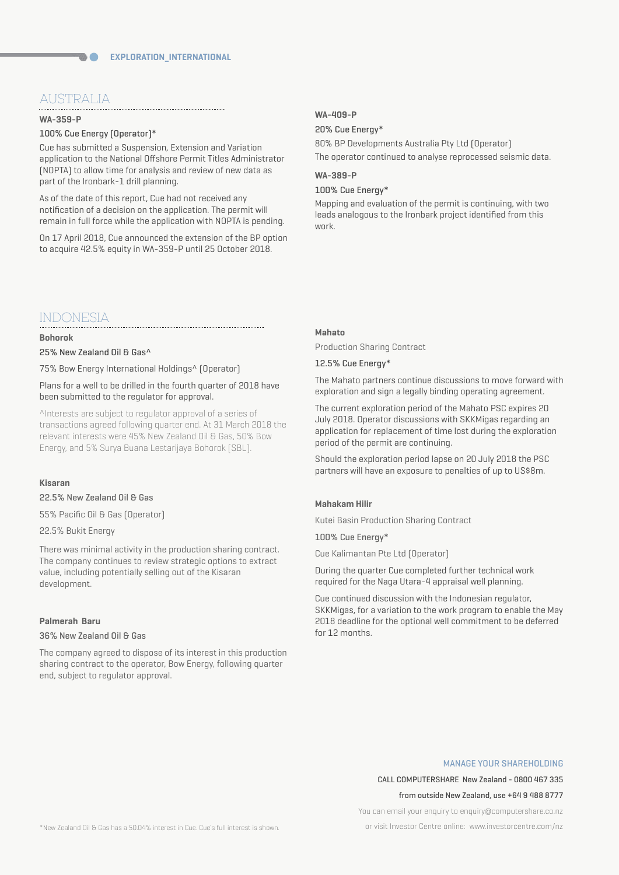# AUSTRALIA

#### **WA-359-P**

### 100% Cue Energy (Operator)\*

Cue has submitted a Suspension, Extension and Variation application to the National Offshore Permit Titles Administrator (NOPTA) to allow time for analysis and review of new data as part of the Ironbark-1 drill planning.

As of the date of this report, Cue had not received any notification of a decision on the application. The permit will remain in full force while the application with NOPTA is pending.

On 17 April 2018, Cue announced the extension of the BP option to acquire 42.5% equity in WA-359-P until 25 October 2018.

# INDONESIA

### **Bohorok**

25% New Zealand Oil & Gas^

75% Bow Energy International Holdings^ (Operator)

Plans for a well to be drilled in the fourth quarter of 2018 have been submitted to the regulator for approval.

^Interests are subject to regulator approval of a series of transactions agreed following quarter end. At 31 March 2018 the relevant interests were 45% New Zealand Oil & Gas, 50% Bow Energy, and 5% Surya Buana Lestarijaya Bohorok (SBL).

### **Kisaran**

22.5% New Zealand Oil & Gas

55% Pacific Oil & Gas (Operator)

22.5% Bukit Energy

There was minimal activity in the production sharing contract. The company continues to review strategic options to extract value, including potentially selling out of the Kisaran development.

### **Palmerah Baru**

### 36% New Zealand Oil & Gas

The company agreed to dispose of its interest in this production sharing contract to the operator, Bow Energy, following quarter end, subject to regulator approval.

### **WA-409-P**

### 20% Cue Energy\*

80% BP Developments Australia Pty Ltd (Operator) The operator continued to analyse reprocessed seismic data.

# **WA-389-P**

### 100% Cue Energy\*

Mapping and evaluation of the permit is continuing, with two leads analogous to the Ironbark project identified from this work.

### **Mahato**

Production Sharing Contract

### 12.5% Cue Energy\*

The Mahato partners continue discussions to move forward with exploration and sign a legally binding operating agreement.

The current exploration period of the Mahato PSC expires 20 July 2018. Operator discussions with SKKMigas regarding an application for replacement of time lost during the exploration period of the permit are continuing.

Should the exploration period lapse on 20 July 2018 the PSC partners will have an exposure to penalties of up to US\$8m.

#### **Mahakam Hilir**

Kutei Basin Production Sharing Contract

100% Cue Energy\*

Cue Kalimantan Pte Ltd (Operator)

During the quarter Cue completed further technical work required for the Naga Utara-4 appraisal well planning.

Cue continued discussion with the Indonesian regulator, SKKMigas, for a variation to the work program to enable the May 2018 deadline for the optional well commitment to be deferred for 12 months.

#### MANAGE YOUR SHAREHOLDING

CALL COMPUTERSHARE New Zealand - 0800 467 335

#### from outside New Zealand, use +64 9 488 8777

You can email your enquiry to enquiry@computershare.co.nz

or visit Investor Centre online: www.investorcentre.com/nz